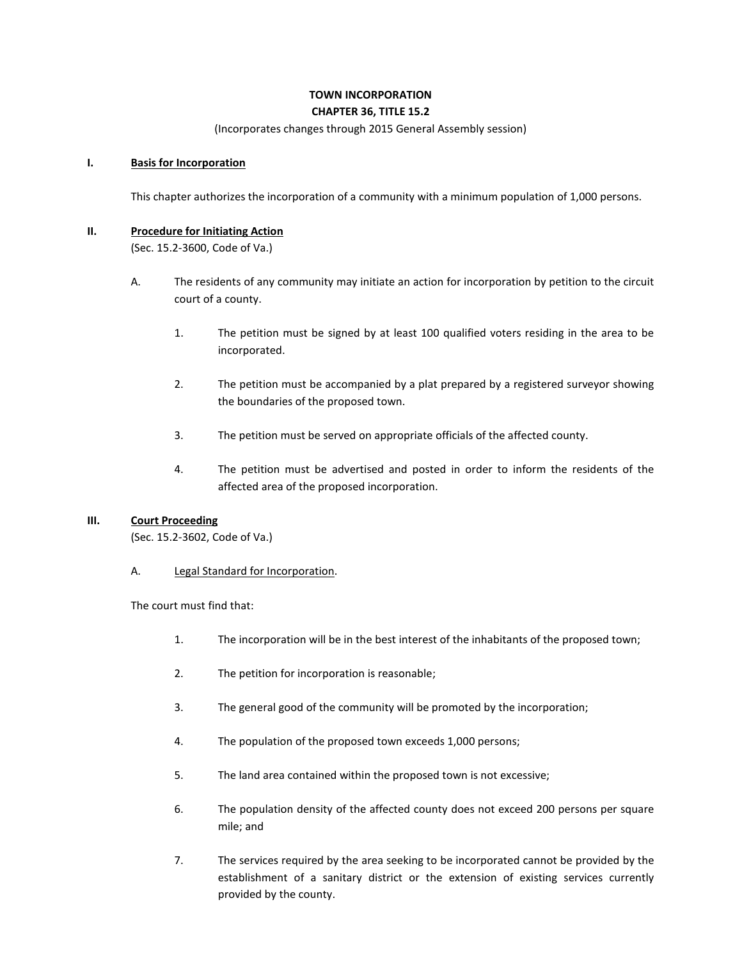## **TOWN INCORPORATION CHAPTER 36, TITLE 15.2**

(Incorporates changes through 2015 General Assembly session)

#### **I. Basis for Incorporation**

This chapter authorizes the incorporation of a community with a minimum population of 1,000 persons.

#### **II. Procedure for Initiating Action**

(Sec. 15.2-3600, Code of Va.)

- A. The residents of any community may initiate an action for incorporation by petition to the circuit court of a county.
	- 1. The petition must be signed by at least 100 qualified voters residing in the area to be incorporated.
	- 2. The petition must be accompanied by a plat prepared by a registered surveyor showing the boundaries of the proposed town.
	- 3. The petition must be served on appropriate officials of the affected county.
	- 4. The petition must be advertised and posted in order to inform the residents of the affected area of the proposed incorporation.

### **III. Court Proceeding**

(Sec. 15.2-3602, Code of Va.)

A. Legal Standard for Incorporation.

The court must find that:

- 1. The incorporation will be in the best interest of the inhabitants of the proposed town;
- 2. The petition for incorporation is reasonable;
- 3. The general good of the community will be promoted by the incorporation;
- 4. The population of the proposed town exceeds 1,000 persons;
- 5. The land area contained within the proposed town is not excessive;
- 6. The population density of the affected county does not exceed 200 persons per square mile; and
- 7. The services required by the area seeking to be incorporated cannot be provided by the establishment of a sanitary district or the extension of existing services currently provided by the county.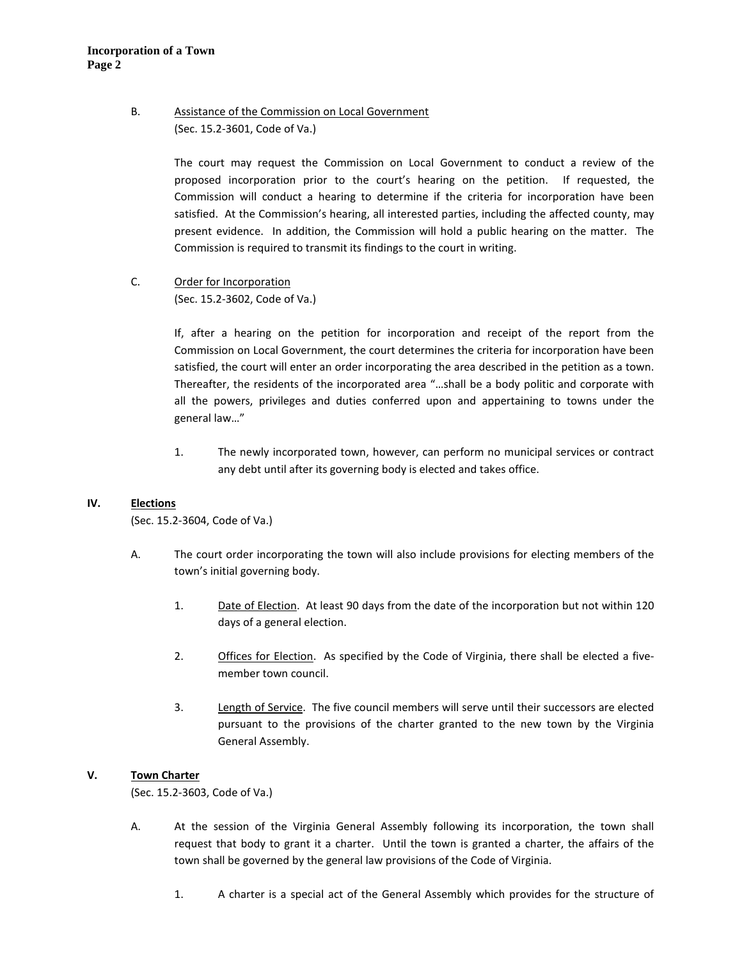# B. Assistance of the Commission on Local Government (Sec. 15.2-3601, Code of Va.)

The court may request the Commission on Local Government to conduct a review of the proposed incorporation prior to the court's hearing on the petition. If requested, the Commission will conduct a hearing to determine if the criteria for incorporation have been satisfied. At the Commission's hearing, all interested parties, including the affected county, may present evidence. In addition, the Commission will hold a public hearing on the matter. The Commission is required to transmit its findings to the court in writing.

C. Order for Incorporation (Sec. 15.2-3602, Code of Va.)

> If, after a hearing on the petition for incorporation and receipt of the report from the Commission on Local Government, the court determines the criteria for incorporation have been satisfied, the court will enter an order incorporating the area described in the petition as a town. Thereafter, the residents of the incorporated area "…shall be a body politic and corporate with all the powers, privileges and duties conferred upon and appertaining to towns under the general law…"

> 1. The newly incorporated town, however, can perform no municipal services or contract any debt until after its governing body is elected and takes office.

### **IV. Elections**

(Sec. 15.2-3604, Code of Va.)

- A. The court order incorporating the town will also include provisions for electing members of the town's initial governing body.
	- 1. Date of Election. At least 90 days from the date of the incorporation but not within 120 days of a general election.
	- 2. Offices for Election. As specified by the Code of Virginia, there shall be elected a fivemember town council.
	- 3. Length of Service. The five council members will serve until their successors are elected pursuant to the provisions of the charter granted to the new town by the Virginia General Assembly.

### **V. Town Charter**

(Sec. 15.2-3603, Code of Va.)

- A. At the session of the Virginia General Assembly following its incorporation, the town shall request that body to grant it a charter. Until the town is granted a charter, the affairs of the town shall be governed by the general law provisions of the Code of Virginia.
	- 1. A charter is a special act of the General Assembly which provides for the structure of